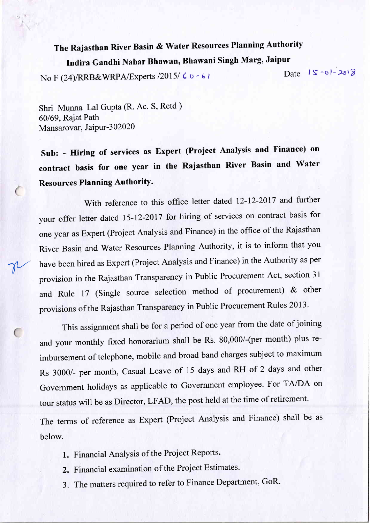## The Rajasthan River Basin & water Resources Planning Authority Indira Gandhi Nahar Bhawan, Bhawani Singh Marg, Jaipur<br>24) Date 15-01-2018

No F (24)/RRB&WRPA/Experts /2015/ 6 o - 61

Shri Munna Lal Gupta (R. Ac. S, Retd ) 60169, Rajat Path Mansarovar, Jaipur-302020

v

 $\overline{C}$ 

sub: - Hiring of services as Expert (Project Analysis and Finance) on contract basis for one year in the Rajasthan River Basin and Water Resources Planning AuthoritY.

With reference to this office letter dated 12-12-2017 and further your offer letter dated I5-I2-20I7 for hiring of services on contract basis for one year as Expert (Project Analysis and Finance) in the office of the Rajasthan River Basin and water Resources Planning Authority, it is to inform that you have been hired as Expert (Project Analysis and Finance) in the Authority as per provision in the Rajasthan Transparency in Public Procurement Act, section <sup>31</sup> and Rule 17 (Single source selection method of procurement) & other provisions of the Rajasthan Transparency in Public Procurement Rules <sup>2013</sup> '

This assignment shall be for a period of one year from the date of joining and your monthly fixed honorarium shall be Rs. 80,000/-(per month) plus reimbursement of telephone, mobile and broad band charges subject to maximum Rs 3000/- per month, Casual Leave of 15 days and RH of 2 days and other Government holidays as applicable to Government employee. For TA/DA on tour status will be as Director, LFAD, the post held at the time of retirement. The terms of reference as Expert (Project Analysis and Finance) shall be as

below.

- 1. Financial Analysis of the Project Reports.
- 2. Financial examination of the Project Estimates.
- 3. The matters required to refer to Finance Department, GoR'